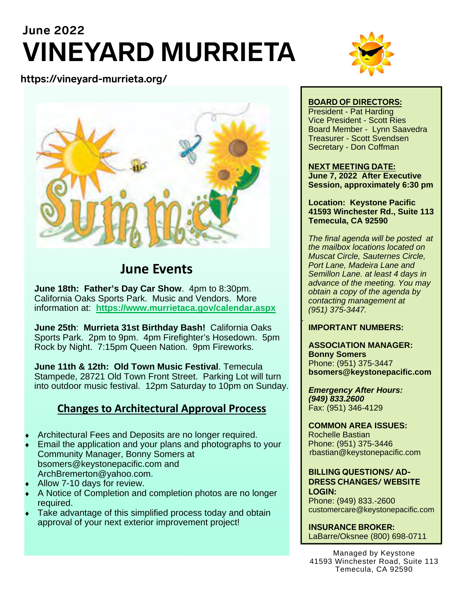# **June 2022 VINEYARD MURRIETA**

#### **https://vineyard-murrieta.org/**



### **June Events**

**June 18th: Father's Day Car Show**. 4pm to 8:30pm. California Oaks Sports Park. Music and Vendors. More information at: **https://www.murrietaca.gov/calendar.aspx**

**June 25th**: **Murrieta 31st Birthday Bash!** California Oaks Sports Park. 2pm to 9pm. 4pm Firefighter's Hosedown. 5pm Rock by Night. 7:15pm Queen Nation. 9pm Fireworks.

**June 11th & 12th: Old Town Music Festival**. Temecula Stampede, 28721 Old Town Front Street. Parking Lot will turn into outdoor music festival. 12pm Saturday to 10pm on Sunday.

### **Changes to Architectural Approval Process**

- Architectural Fees and Deposits are no longer required.
- Email the application and your plans and photographs to your Community Manager, Bonny Somers at bsomers@keystonepacific.com and ArchBremerton@yahoo.com.
- Allow 7-10 days for review.
- A Notice of Completion and completion photos are no longer required.
- Take advantage of this simplified process today and obtain approval of your next exterior improvement project!



#### **BOARD OF DIRECTORS:**

President - Pat Harding Vice President - Scott Ries Board Member - Lynn Saavedra Treasurer - Scott Svendsen Secretary - Don Coffman

#### **NEXT MEETING DATE:**

**June 7, 2022 After Executive Session, approximately 6:30 pm** 

**Location: Keystone Pacific 41593 Winchester Rd., Suite 113 Temecula, CA 92590** 

*The final agenda will be posted at the mailbox locations located on Muscat Circle, Sauternes Circle, Port Lane, Madeira Lane and Semillon Lane. at least 4 days in advance of the meeting. You may obtain a copy of the agenda by contacting management at (951) 375-3447.* 

#### *.*  **IMPORTANT NUMBERS:**

**ASSOCIATION MANAGER: Bonny Somers**  Phone: (951) 375-3447 **bsomers@keystonepacific.com** 

*Emergency After Hours: (949) 833.2600* Fax: (951) 346-4129

#### **COMMON AREA ISSUES:**  Rochelle Bastian

Phone: (951) 375-3446 rbastian@keystonepacific.com

#### **BILLING QUESTIONS/ AD-DRESS CHANGES/ WEBSITE LOGIN:**

Phone: (949) 833.-2600 customercare@keystonepacific.com

**INSURANCE BROKER:**  LaBarre/Oksnee (800) 698-0711

Managed by Keystone 41593 Winchester Road, Suite 113 Temecula, CA 92590